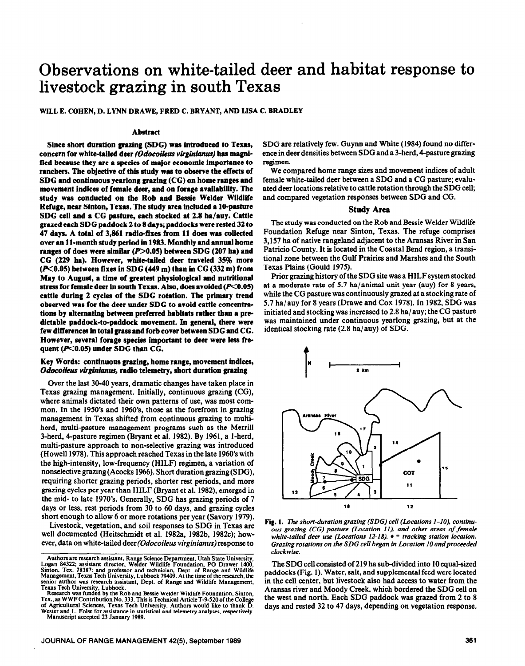# **Observations on white-tailed deer and habitat response to livestock grazing in south Texas**

WILL E. COHEN, D. LYNN DRAWE, FRED C. BRYANT, AND LISA C. BRADLEY

### **Abstract**

**Since short duration graxing (SDG) was introduced to Texas,**  concern for white-tailed deer *(Odocoileus virginianus)* has magni**fied because they are a species of major economic** importance to ranchers. Tbe objective of **this study was to observe the effects of SDC and continuous yearlong grazing (CC) on home ranges and movement indices of female deer, and on forage availability. The study was conducted on the Rob and Ressie Welder Wildlife Refuge, near Sinton, Texas. The study** area **included a lO-pasture SDG cell** and a CC **pasture,** each **stocked at 2.8** ha/auy. **Cattle**  grazed each SDG paddock 2 to 8 days; paddocks were rested 32 to 47 days. **A** total of 3,861 radio-fixes from 11 does was collected over an 11-month study period In 1983. Monthly and annual **home ranges of does were similar (P>0.05) between SDG (207 ha) and CG (229 ha). However, white-tailed deer traveled 3% more (X0.05) between fixes in SDG (449 m) than in CC (332 m) from May to August, a time of greatest physiological and nutritional stress for** female deer **in south Texas. Also, does avoided (PCO.05) cattle during 2 cycles of the SDG rotation. The primary trend observed** was **for the deer under SDG to avoid cattle concentrations by alternating between preferred habitats rather than a predictable paddock-to-paddock movement. In general, there were few dlfferencea in total grass** and forb cover between SDG and CG. However, several forage **species important to deer were less fre**quent (P<0.05) under SDG than CG.

## **Key Words: continuous graxing, home range, movement indices,**  *Odocoikus vlginianus, radio* telemetry, short duration grazing

Over the last 3040 years, dramatic changes have taken place in Texas grazing management. Initially, continuous grazing (CG), where animals dictated their own patterns of use, was most common. In the 1950's and 1960's, those at the forefront in grazing management in Texas shifted from continuous grazing to multiherd, multi-pasture management programs such as the Merrill 3-herd, 4-pasture regimen (Bryant et al. 1982). By 1961, a l-herd, multi-pasture approach to non-selective grazing was introduced (Howell 1978). This approach reached Texas in the late 1960's with the high-intensity, low-frequency (HILF) regimen, a variation of nonselective grazing (Acocks 1966). Short duration grazing (SDG), requiring shorter grazing periods, shorter rest periods, and more grazing cycles per year than HILF (Bryant et al. 1982), emerged in the mid- to late 1970's. Generally, SDG has grazing periods of 7 days or less, rest periods from 30 to 60 days, and grazing cycles short enough to allow 6 or more rotations per year (Savory 1979).

Livestock, vegetation, and soil responses to SDG in Texas are well documented (Heitschmidt et al. 1982a, 1982b, 1982c); however, data on white-tailed deer (Odocoileus virginianus) response to

**Texas Tech University, Lubbock. Research was funded by the Rob and Ressie Welder Wildlife Foundation, Simon, Tex., as WWF Contribution No. 333. This is Technical Article T-9-520 of the College of Agricultural Sciences, Texas Tech University. Authors would like to thank D.**  Wester and L. Folse for assistance in statistical and telemetry analyses, respectively. **Manuscript accepted 23 January 1989.** 

SDG are relatively few. Guynn and White (1984) found no difference in deer densities between SDG and a 3-herd, 4-pasture grazing regimen.

We compared home range sizes and movement indices of adult female white-tailed deer between a SDG and a CG pasture; evaluated deer locations relative to cattle rotation through the SDG cell; and compared vegetation responses between SDG and CG.

### Study Area

The study was conducted on the Rob and Bessie Welder Wildlife Foundation Refuge near Sinton, Texas. The refuge comprises 3,157 ha of native rangeland adjacent to the Aransas River in San Patricia County. It is located in the Coastal Bend region, a transitional zone between the Gulf Prairies and Marshes and the South Texas Plains (Gould 1975).

Prior grazing history of the SDG site was a HILF system stocked at a moderate rate of 5.7 ha/animal unit year (auy) for 8 years, while the CG pasture was continuously grazed at a stocking rate of 5.7 ha/auy for 8 years (Drawe and Cox 1978). In 1982, SDG was initiated and stocking was increased to 2.8 ha/ auy; the CG pasture was maintained under continuous yearlong grazing, but at the identical stocking rate (2.8 ha/auy) of SDG.



Fig. 1. The *short-duration grazing (SDG) cell (Locations I-IO), continuous grazing (CC) pasture (Location II). and other areas of female white-tailed deer use (Locations 12-18).*  $\bullet$  = tracking station location. Grazing rotations on the SDG cell began in Location 10 and proceeded *clockwise.* 

The SDG cell consisted of 219 ha sub-divided into 10 equal-sized paddocks (Fig. 1). Water, salt, and supplemental feed were located in the cell center, but livestock also had access to water from the Aransas river and Moody Creek, which bordered the SDG cell on the west and north. Each SDG paddock was grazed from 2 to 8 days and rested 32 to 47 days, depending on vegetation response.

**Authors are research assistant, Range Science Department, Utah State University, Logan 84322; assistant director, Welder Wildlife Foundation, PO Drawer 1400,**  Sinton, Tex. 78387; and professor and technician, Dept. of Range and Wildlife<br>Management, Texas Tech University, Lubbock 79409. At the time of the research, the **senior author was research assistant, Dept. of Range and Wildlife Management,**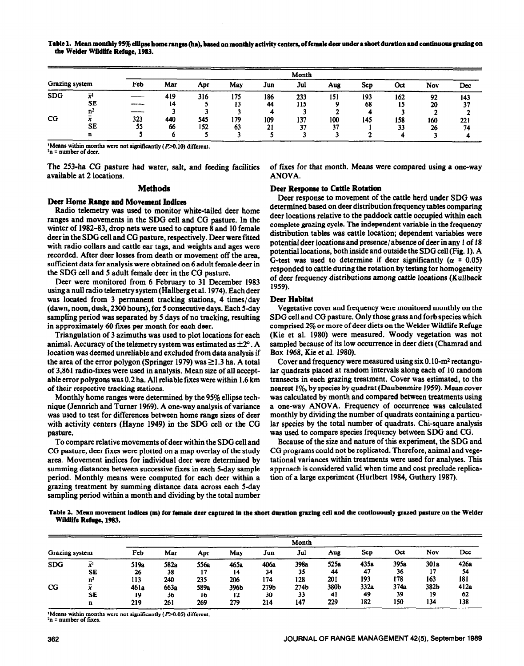|                |                | Month |     |     |     |     |     |     |            |     |     |     |
|----------------|----------------|-------|-----|-----|-----|-----|-----|-----|------------|-----|-----|-----|
| Grazing system |                | Feb   | Mar | Apr | May | Jun | Jul | Aug | <b>Sep</b> | Oct | Nov | Dec |
| <b>SDG</b>     |                |       | 419 | 316 | 175 | 186 | 233 | 151 | 193        | 162 | 92  | 143 |
|                | SE             |       | 14  |     | IJ  | 44  | 115 |     | 68         | 15  | 20  | 37  |
|                | n <sup>2</sup> |       |     |     |     |     |     |     |            |     |     |     |
| $_{\rm CG}$    |                | 323   | 440 | 545 | 179 | 109 | 137 | 100 | 145        | 158 | 160 | 221 |
|                | SE             | 55    | 66  | 152 | 63  | 21  | 37  | 37  |            | 33  | 26  | 74  |
|                | n              |       |     |     |     |     |     |     |            |     |     |     |

<sup>1</sup>Means within months were not significantly ( $P > 0.10$ ) different. **\*n = number of deer.** 

available at 2 locations. ANOVA.

# **Deer Home Range and Movement Indices**

Radio telemetry was used to monitor white-tailed deer home ranges and movements in the SDG cell and CG pasture. In the winter of 1982-83, drop nets were used to capture 8 and 10 female deer in the SDG cell and CG pasture, respectively. Deer were fitted with radio collars and cattle ear tags, and weights and ages were recorded. After deer losses from death or movement off the area, sufficient data for analysis were obtained on 6 adult female deer in the SDG cell and 5 adult female deer in the CG pasture.

Deer were monitored from 6 February to 31 December 1983 using a null radio telemetry system (Hallberg et al. 1974). Each deer was located from 3 permanent tracking stations, 4 times/day (dawn, noon, dusk, 2300 hours), for 5 consecutive days. Each 5-day sampling period was separated by 5 days of no tracking, resulting in approximately 60 fixes per month for each deer.

Triangulation of 3 azimuths was used to plot locations for each animal. Accuracy of the telemetry system was estimated as  $\pm 2^{\circ}$ . A location was deemed unreliable and excluded from data analysis if the area of the error polygon (Springer 1979) was  $\geq$ 1.3 ha. A total of 3,861 radio-fixes were used in analysis. Mean size of all acceptable error polygons was 0.2 ha. All reliable fixes were within 1.6 km of their respective tracking stations.

Monthly home ranges were determined by the 95% ellipse technique (Jennrich and Turner 1969). A one-way analysis of variance was used to test for differences between home range sizes of deer with activity centers (Hayne 1949) in the SDG cell or the CG pasture.

To compare relative movements of deer within the SDG cell and CG pasture, deer fixes were plotted on a map overlay of the study area. Movement indices for individual deer were determined by summing distances between successive fixes in each 5-day sample period. Monthly means were computed for each deer within a grazing treatment by summing distance data across each S-day sampling period within a month and dividing by the total number

The 253-ha CG pasture had water, salt, and feeding facilities of fixes for that month. Means were compared using a one-way

# Methods Deer **Response to Cattle Rotation**

Deer response to movement of the cattle herd under SDG was determined based on deer distribution frequency tables comparing deer locations relative to the paddock cattle occupied within each complete grazing cycle. The independent variable in the frequency distribution tables was cattle location; dependent variables were potential deer locations and presence/absence of deer in any 1 of 18 potential locations, both inside **and** outside the SDG cell (Fig. 1). A G-test was used to determine if deer significantly ( $\alpha$  = 0.05) responded to cattle during the rotation by testing for homogeneity of deer frequency distributions *among* cattle locations (Kullback 1959).

## Deer **Habitat**

Vegetative cover and frequency were monitored monthly on the SDG cell and CG pasture. Only those grass and forb species which comprised 2% or more of deer diets on the Welder Wildlife Refuge (Kie et al. 1980) were measured. Woody vegetation was not sampled because of its low occurrence in deer diets (Chamrad and Box 1968, Kie et al. 1980).

Cover and frequency were measured using six **0.** lo-m2 rectangular quadrats placed at random intervals along each of 10 random transects in each grazing treatment. Cover was estimated, to the nearest  $1\%$ , by species by quadrat (Daubenmire 1959). Mean cover was calculated by month and compared between treatments using a one-way ANOVA. Frequency of occurrence was calculated monthly by dividing the number of quadrats containing a particular species by the total number of quadrats. Chi-square analysis was used to compare species frequency between SDG and CG.

Because of the size and nature of this experiment, the SDG and CG programs could not be replicated. Therefore, animal and vegetational variances within treatments were used for analyses. This approach is considered valid when time and cost preclude replication of a large experiment (Hurlbert 1984, Guthery 1987).

**Table 2. Mean movement indices (m) for femaie deer captured in the short duration grazing ceil end the continuously grazed peeture on the Welder Wildlife Refuge, 1983.** 

|                |                      | Month     |           |           |           |           |                  |            |            |            |            |            |
|----------------|----------------------|-----------|-----------|-----------|-----------|-----------|------------------|------------|------------|------------|------------|------------|
| Grazing system |                      | Feb       | Mar       | Apr       | May       | Jun       | Jul              | Aug        | Sep        | Oct        | Nov        | Dec        |
| <b>SDG</b>     | $\bar{x}^1$          | 519a      | 582a      | 556a      | 465a      | 406a      | 398a             | 525a<br>44 | 435a<br>47 | 395a<br>36 | 301a<br>17 | 426a<br>54 |
|                | SE<br>n <sup>2</sup> | 26<br>113 | 38<br>240 | 17<br>235 | 14<br>206 | 34<br>174 | 35<br>128        | 201        | 193        | 178        | 163        | 181        |
| $_{\rm CG}$    | л.                   | 461a      | 663a      | 589a      | 396Ъ      | 279b      | 274 <sub>b</sub> | 380b       | 332a       | 374a       | 382b       | 412a       |
|                | SE                   | 19        | 36        | 16        | 12        | 30        | 33               | 41         | 49         | 39         | 19         | 62         |
|                | n                    | 219       | 261       | 269       | 279       | 214       | 147              | 229        | 182        | 150        | 134        | 138        |

<sup>1</sup>Means within months were not significantly (P>0.05) different. **2n = number of fixes.**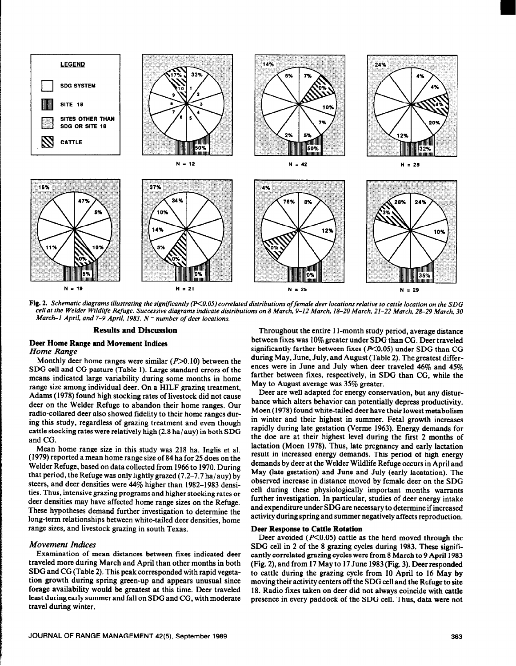

Fig. 2. Schematic diagrams illustrating the significantly (P<0.05) correlated distributions of female deer locations relative to cattle location on the SDG *cell of the Welder Wildlife Refuse. Successive diowoms indicate distributions on 8 March, 9-12 March, 18-20 March, 21-22 March, 28-29 March, 30 March-1 April, and 7-9 April, 1983. N = number of deer locations.* 

# **Deer Home Range and Movement Indices**  *Home Range*

Monthly deer home ranges were similar  $(P>0.10)$  between the SDG cell and CG pasture (Table 1). Large standard errors of the means indicated large variability during some months in home range size among individual deer. On a HILF grazing treatment, Adams (1978) found high stocking rates of livestock did not cause deer on the Welder Refuge to abandon their home ranges. Our radio-collared deer also showed fidelity to their home ranges during this study, regardless of grazing treatment and even though cattle stocking rates were relatively high (2.8 ha/auy) in both SDG and CG.

Mean home range size in this study was 218 ha. Inglis et al. (1979) reported a mean home range size of 84 ha for 25 does on the Welder Refuge, based on data collected from 1966 to 1970. During that period, the Refuge was only lightly grazed  $(7.2-7.7$  ha/auy) by steers, and deer densities were 44% higher than 1982-1983 densities. Thus, intensive grazing programs and higher stocking rates or deer densities may have affected home range sizes on the Refuge. These hypotheses demand further investigation to determine the long-term relationships between white-tailed deer densities, home range sizes, and livestock grazing in south Texas.

# *Movement Indices*

Examination of mean distances between fixes indicated deer traveled more during March and April than other months in both SDG and CG (Table 2). This peak corresponded with rapid vegetation growth during spring green-up and appears unusual since forage availability would be greatest at this time. Deer traveled least during early summer and fall on SDG and CG, with moderate travel during winter.

**Results and Discussion Throughout the entire 11-month study period, average distance** between fixes was 10% greater under SDG than CG. Deer traveled significantly farther between fixes ( $P<0.05$ ) under SDG than CG during May, June, July, and August (Table 2). The greatest differences were in June and July when deer traveled 46% and 45% farther between fixes, respectively, in SDG than CG, while the May to August average was 35% greater.

> Deer are well adapted for energy conservation, but any disturbance which alters behavior can potentially depress productivity. Moen (1978) found white-tailed deer have their lowest metabolism in winter and their highest in summer. Fetal growth increases rapidly during late gestation (Verme 1963). Energy demands for the doe are at their highest level during the first 2 months of lactation (Moen 1978). Thus, late pregnancy and early lactation result in increased energy demands. This period of high energy demands by deer at the Welder Wildlife Refuge occurs in April and May (late gestation) and June and July (early lacatation). The observed increase in distance moved by female deer on the SDG cell during these physiologically important months warrants further investigation. In particular, studies of deer energy intake and expenditure under SDG are necessary to determine if increased activity during spring and summer negatively affects reproduction.

### **Deer Response to Cattle Rotation**

Deer avoided  $(P<0.05)$  cattle as the herd moved through the SDG cell in 2 of the 8 grazing cycles during 1983. These significantly correlated grazing cycles were from 8 March to 9 April 1983 (Fig. 2), and from 17 May to 17 June 1983 (Fig. 3). **Deer responded**  to cattle during the grazing cycle from 10 April to 16 May by moving their activity centers off the SDG cell and the Refuge to site 18. Radio fixes taken on deer did not always coincide with cattle presence in every paddock of the SDG cell. Thus, data were not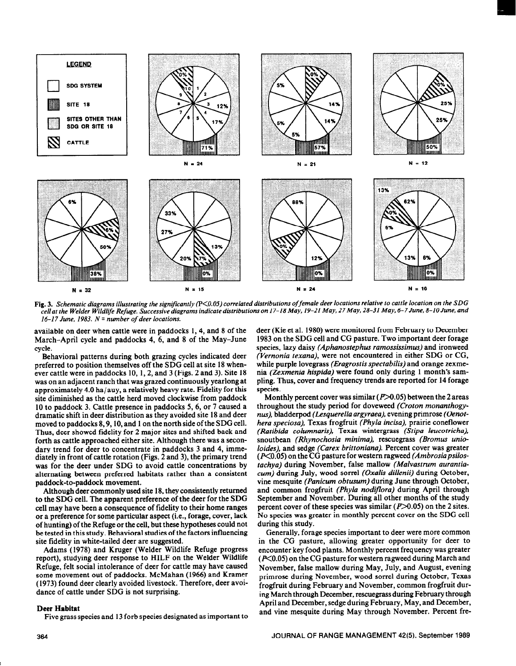

Fig. 3. Schematic diagrams illustrating the significantly (P<0.05) correlated distributions of female deer locations relative to cattle location on the SDG *cell at the Welder Wildltfe Refuge. Successive diagrams indicate distributions on 17-18 May, 19-21 May, 27 May, 28-31 May, 6-7 June, 8-10 June, and 16-17 June, 1983. N = number of deer locations.* 

available on deer when cattle were in paddocks 1, 4, and 8 of the March-April cycle and paddocks 4, 6, and 8 of the May-June cycle.

Behavioral patterns during both grazing cycles indicated deer preferred to position themselves off the SDG cell at site 18 whenever cattle were in paddocks 10, 1, 2, and 3 (Figs. 2 and 3). Site 18 was on an adjacent ranch that was grazed continuously yearlong at approximately 4.0 ha/auy, a relatively heavy rate. Fidelity for this site diminished as the cattle herd moved clockwise from paddock 10 to paddock 3. Cattle presence in paddocks 5,6, or 7 caused a dramatic shift in deer distribution as they avoided site 18 and deer moved to paddocks 8,9,10, and 1 on the north side of the SDG cell. Thus, deer showed fidelity for 2 major sites and shifted back and forth as cattle approached either site. Although there was a secondary trend for deer to concentrate in paddocks 3 and 4, immediately in front of cattle rotation (Figs. 2 and 3), the primary trend was for the deer under SDG to avoid cattle concentrations by alternating between preferred habitats rather than a consistent paddock-to-paddock movement.

Although deer commonly used site 18, they consistently returned to the SDG cell. The apparent preference of the deer for the SDG cell may have been a consequence of fidelity to their home ranges or a preference for some particular aspect (i.e., forage, cover, lack of hunting) of the Refuge or the cell, but these hypotheses could not be tested in this study. Behavioral studies of the factors influencing site fidelity in white-tailed deer are suggested.

Adams (1978) and Kruger (Welder Wildlife Refuge progress report), studying deer response to HILF on the Welder Wildlife Refuge, felt social intolerance of deer for cattle may have caused some movement out of paddocks. McMahan (1966) and Kramer (1973) found deer clearly avoided livestock. Therefore, deer avoidance of cattle under SDG is not surprising.

### Deer Habitat

Five grass species and 13 forb species designated as important to

deer (Kie et al. 1980) were monitored from February to December 1983 on the SDG cell and CG pasture. Two important deer forage species, lazy daisy *(Aphanostephus ramossissimus)* and ironweed *(Vernonia texana),* were not encountered in either SDG or CG, while purple lovegrass *(Eragrostis spectabilis)* and orange zexmenia *(Zexmenia hispida)* were found only during 1 month's sampling. Thus, cover and frequency trends are reported for 14 forage species.

Monthly percent cover was similar ( $P > 0.05$ ) between the 2 areas throughout the study period for doveweed *(Croton monanthogynus),* bladderpod *(Lesquerella argyraea),* evening primrose *(Oenothera speciosa), Texas frogfruit (Phyla incisa), prairie coneflower (Ratibida columnaris).* Texas wintergrass *(Stipa leucotricha),*  snoutbean *(Rhynochosia minima),* rescuegrass *(Bromus unioloides).* and sedge *(Carex brittoniana).* Percent cover was greater (EYO.05) on the CG pasture for western ragweed *(Ambrosiapsilostachya)* during November, false mallow *(Malvastrum aurantiacum)* during July, wood sorrel *(Oxalis dillenii)* during October, vine mesquite *(Panicum obtusum)* during June through October, and common frogfruit *(Phyla nodifora)* during April through September and November. During all other months of the study percent cover of these species was similar  $(P>0.05)$  on the 2 sites. No species was greater in monthly percent cover on the SDG cell during this study.

Generally, forage species important to deer were more common in the CG pasture, allowing greater opportunity for deer to encounter key food plants. Monthly percent frequency was greater  $(K<sub>0.05</sub>)$  on the CG pasture for western ragweed during March and November, false mallow during May, July, and August, evening primrose during November, wood sorrel during October, Texas frogfruit during February and November, common frogfruit during March through December, rescuegrass during February through April and December, sedge during February, May, and December, and vine mesquite during May through November. Percent fre-